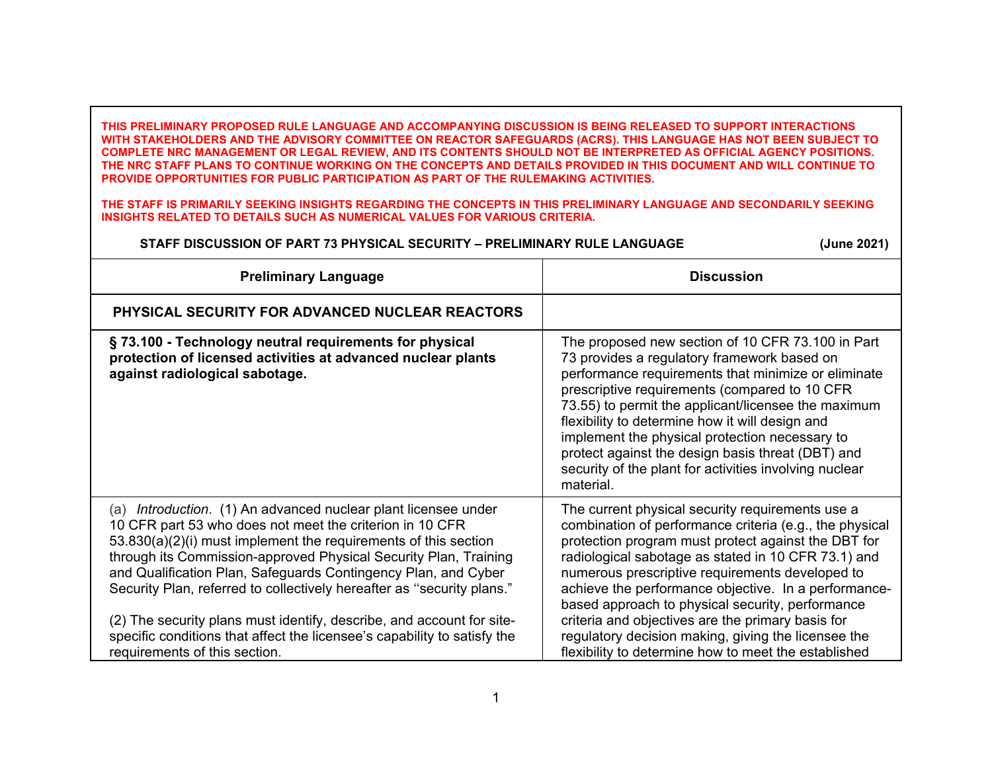**THIS PRELIMINARY PROPOSED RULE LANGUAGE AND ACCOMPANYING DISCUSSION IS BEING RELEASED TO SUPPORT INTERACTIONS WITH STAKEHOLDERS AND THE ADVISORY COMMITTEE ON REACTOR SAFEGUARDS (ACRS). THIS LANGUAGE HAS NOT BEEN SUBJECT TO COMPLETE NRC MANAGEMENT OR LEGAL REVIEW, AND ITS CONTENTS SHOULD NOT BE INTERPRETED AS OFFICIAL AGENCY POSITIONS. THE NRC STAFF PLANS TO CONTINUE WORKING ON THE CONCEPTS AND DETAILS PROVIDED IN THIS DOCUMENT AND WILL CONTINUE TO PROVIDE OPPORTUNITIES FOR PUBLIC PARTICIPATION AS PART OF THE RULEMAKING ACTIVITIES.**

**THE STAFF IS PRIMARILY SEEKING INSIGHTS REGARDING THE CONCEPTS IN THIS PRELIMINARY LANGUAGE AND SECONDARILY SEEKING INSIGHTS RELATED TO DETAILS SUCH AS NUMERICAL VALUES FOR VARIOUS CRITERIA.** 

## **STAFF DISCUSSION OF PART 73 PHYSICAL SECURITY – PRELIMINARY RULE LANGUAGE (June 2021)**

| <b>Preliminary Language</b>                                                                                                                                                                                                                                                                                                                                                                                                                                                                                                                                                                         | <b>Discussion</b>                                                                                                                                                                                                                                                                                                                                                                                                                                                                                                                                            |
|-----------------------------------------------------------------------------------------------------------------------------------------------------------------------------------------------------------------------------------------------------------------------------------------------------------------------------------------------------------------------------------------------------------------------------------------------------------------------------------------------------------------------------------------------------------------------------------------------------|--------------------------------------------------------------------------------------------------------------------------------------------------------------------------------------------------------------------------------------------------------------------------------------------------------------------------------------------------------------------------------------------------------------------------------------------------------------------------------------------------------------------------------------------------------------|
| <b>PHYSICAL SECURITY FOR ADVANCED NUCLEAR REACTORS</b>                                                                                                                                                                                                                                                                                                                                                                                                                                                                                                                                              |                                                                                                                                                                                                                                                                                                                                                                                                                                                                                                                                                              |
| §73.100 - Technology neutral requirements for physical<br>protection of licensed activities at advanced nuclear plants<br>against radiological sabotage.                                                                                                                                                                                                                                                                                                                                                                                                                                            | The proposed new section of 10 CFR 73.100 in Part<br>73 provides a regulatory framework based on<br>performance requirements that minimize or eliminate<br>prescriptive requirements (compared to 10 CFR<br>73.55) to permit the applicant/licensee the maximum<br>flexibility to determine how it will design and<br>implement the physical protection necessary to<br>protect against the design basis threat (DBT) and<br>security of the plant for activities involving nuclear<br>material.                                                             |
| (a) Introduction. (1) An advanced nuclear plant licensee under<br>10 CFR part 53 who does not meet the criterion in 10 CFR<br>53.830(a)(2)(i) must implement the requirements of this section<br>through its Commission-approved Physical Security Plan, Training<br>and Qualification Plan, Safeguards Contingency Plan, and Cyber<br>Security Plan, referred to collectively hereafter as "security plans."<br>(2) The security plans must identify, describe, and account for site-<br>specific conditions that affect the licensee's capability to satisfy the<br>requirements of this section. | The current physical security requirements use a<br>combination of performance criteria (e.g., the physical<br>protection program must protect against the DBT for<br>radiological sabotage as stated in 10 CFR 73.1) and<br>numerous prescriptive requirements developed to<br>achieve the performance objective. In a performance-<br>based approach to physical security, performance<br>criteria and objectives are the primary basis for<br>regulatory decision making, giving the licensee the<br>flexibility to determine how to meet the established |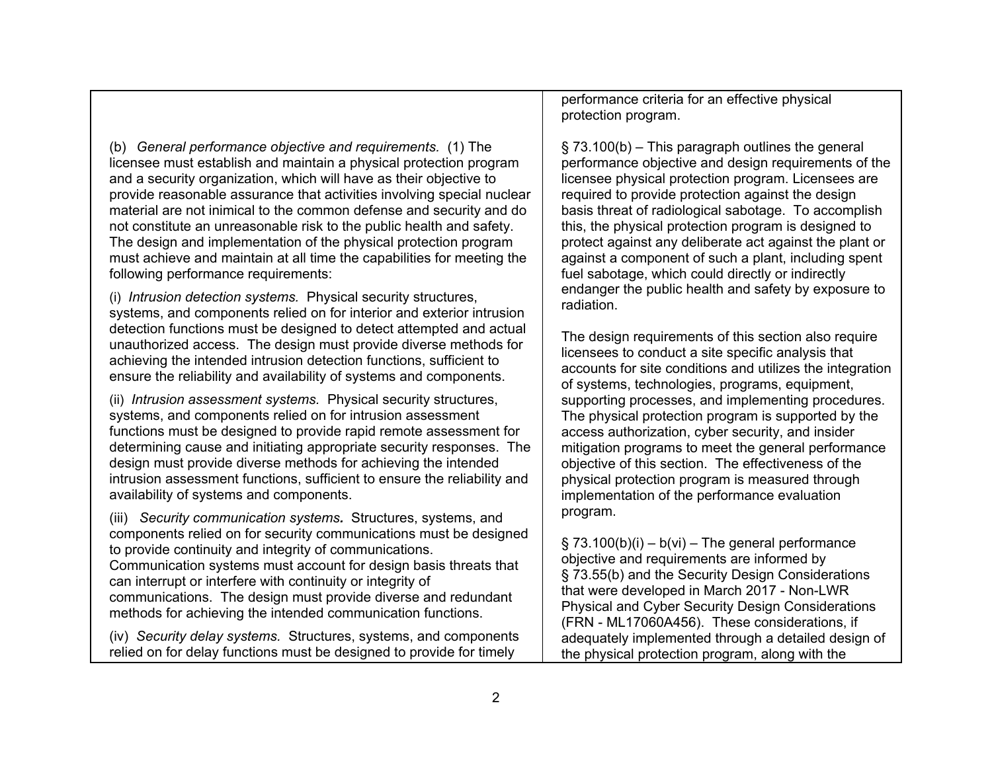(b) *General performance objective and requirements.* (1) The licensee must establish and maintain a physical protection program and a security organization, which will have as their objective to provide reasonable assurance that activities involving special nuclear material are not inimical to the common defense and security and do not constitute an unreasonable risk to the public health and safety. The design and implementation of the physical protection program must achieve and maintain at all time the capabilities for meeting the following performance requirements:

(i) *Intrusion detection systems.* Physical security structures, systems, and components relied on for interior and exterior intrusion detection functions must be designed to detect attempted and actual unauthorized access. The design must provide diverse methods for achieving the intended intrusion detection functions, sufficient to ensure the reliability and availability of systems and components.

(ii) *Intrusion assessment systems.* Physical security structures, systems, and components relied on for intrusion assessment functions must be designed to provide rapid remote assessment for determining cause and initiating appropriate security responses. The design must provide diverse methods for achieving the intended intrusion assessment functions, sufficient to ensure the reliability and availability of systems and components.

(iii) *Security communication systems.* Structures, systems, and components relied on for security communications must be designed to provide continuity and integrity of communications. Communication systems must account for design basis threats that can interrupt or interfere with continuity or integrity of communications. The design must provide diverse and redundant methods for achieving the intended communication functions.

(iv) *Security delay systems.* Structures, systems, and components relied on for delay functions must be designed to provide for timely

performance criteria for an effective physical protection program.

§ 73.100(b) – This paragraph outlines the general performance objective and design requirements of the licensee physical protection program. Licensees are required to provide protection against the design basis threat of radiological sabotage. To accomplish this, the physical protection program is designed to protect against any deliberate act against the plant or against a component of such a plant, including spent fuel sabotage, which could directly or indirectly endanger the public health and safety by exposure to radiation.

The design requirements of this section also require licensees to conduct a site specific analysis that accounts for site conditions and utilizes the integration of systems, technologies, programs, equipment, supporting processes, and implementing procedures. The physical protection program is supported by the access authorization, cyber security, and insider mitigation programs to meet the general performance objective of this section. The effectiveness of the physical protection program is measured through implementation of the performance evaluation program.

 $\S$  73.100(b)(i) – b(vi) – The general performance objective and requirements are informed by § 73.55(b) and the Security Design Considerations that were developed in March 2017 - Non-LWR Physical and Cyber Security Design Considerations (FRN - ML17060A456). These considerations, if adequately implemented through a detailed design of the physical protection program, along with the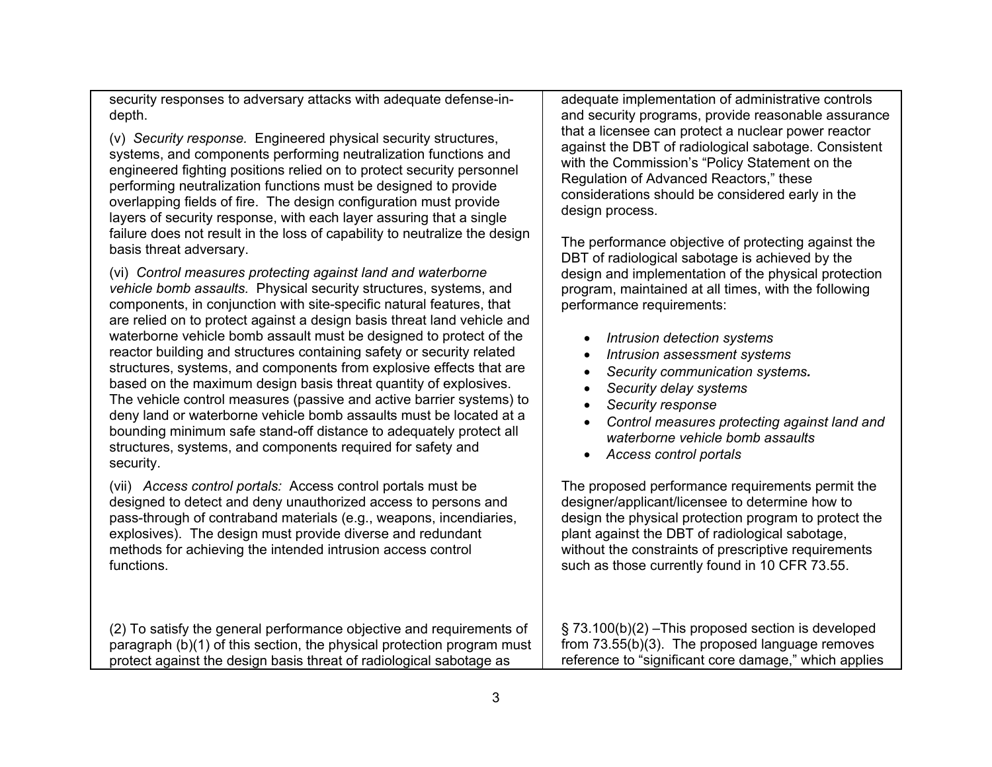security responses to adversary attacks with adequate defense-indepth.

(v) *Security response.* Engineered physical security structures, systems, and components performing neutralization functions and engineered fighting positions relied on to protect security personnel performing neutralization functions must be designed to provide overlapping fields of fire. The design configuration must provide layers of security response, with each layer assuring that a single failure does not result in the loss of capability to neutralize the design basis threat adversary.

(vi) *Control measures protecting against land and waterborne vehicle bomb assaults.* Physical security structures, systems, and components, in conjunction with site-specific natural features, that are relied on to protect against a design basis threat land vehicle and waterborne vehicle bomb assault must be designed to protect of the reactor building and structures containing safety or security related structures, systems, and components from explosive effects that are based on the maximum design basis threat quantity of explosives. The vehicle control measures (passive and active barrier systems) to deny land or waterborne vehicle bomb assaults must be located at a bounding minimum safe stand-off distance to adequately protect all structures, systems, and components required for safety and security.

(vii) *Access control portals:* Access control portals must be designed to detect and deny unauthorized access to persons and pass-through of contraband materials (e.g., weapons, incendiaries, explosives). The design must provide diverse and redundant methods for achieving the intended intrusion access control functions.

(2) To satisfy the general performance objective and requirements of paragraph (b)(1) of this section, the physical protection program must protect against the design basis threat of radiological sabotage as

adequate implementation of administrative controls and security programs, provide reasonable assurance that a licensee can protect a nuclear power reactor against the DBT of radiological sabotage. Consistent with the Commission's "Policy Statement on the Regulation of Advanced Reactors," these considerations should be considered early in the design process.

The performance objective of protecting against the DBT of radiological sabotage is achieved by the design and implementation of the physical protection program, maintained at all times, with the following performance requirements:

- *Intrusion detection systems*
- •*Intrusion assessment systems*
- •*Security communication systems.*
- •*Security delay systems*
- •*Security response*
- *Control measures protecting against land and waterborne vehicle bomb assaults*
- *Access control portals*

The proposed performance requirements permit the designer/applicant/licensee to determine how to design the physical protection program to protect the plant against the DBT of radiological sabotage, without the constraints of prescriptive requirements such as those currently found in 10 CFR 73.55.

§ 73.100(b)(2) –This proposed section is developed from 73.55(b)(3). The proposed language removes reference to "significant core damage," which applies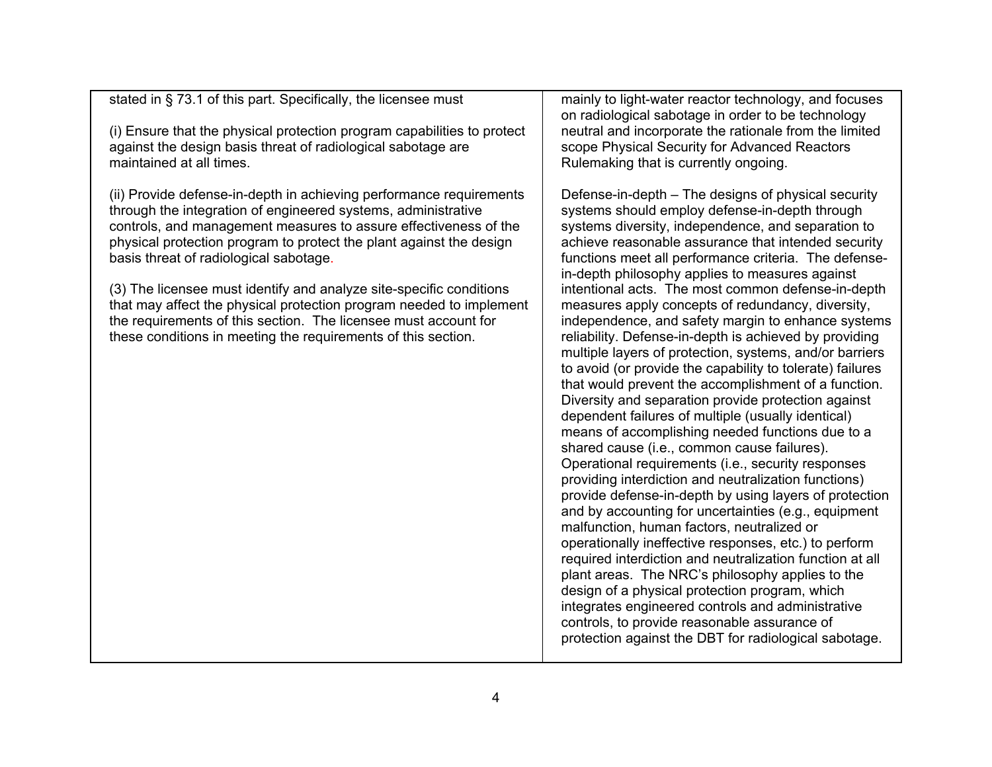stated in § 73.1 of this part. Specifically, the licensee must

(i) Ensure that the physical protection program capabilities to protect against the design basis threat of radiological sabotage are maintained at all times.

(ii) Provide defense-in-depth in achieving performance requirements through the integration of engineered systems, administrative controls, and management measures to assure effectiveness of the physical protection program to protect the plant against the design basis threat of radiological sabotage.

(3) The licensee must identify and analyze site-specific conditions that may affect the physical protection program needed to implement the requirements of this section. The licensee must account for these conditions in meeting the requirements of this section.

mainly to light-water reactor technology, and focuses on radiological sabotage in order to be technology neutral and incorporate the rationale from the limited scope Physical Security for Advanced Reactors Rulemaking that is currently ongoing.

Defense-in-depth – The designs of physical security systems should employ defense-in-depth through systems diversity, independence, and separation to achieve reasonable assurance that intended security functions meet all performance criteria. The defensein-depth philosophy applies to measures against intentional acts. The most common defense-in-depth measures apply concepts of redundancy, diversity, independence, and safety margin to enhance systems reliability. Defense-in-depth is achieved by providing multiple layers of protection, systems, and/or barriers to avoid (or provide the capability to tolerate) failures that would prevent the accomplishment of a function. Diversity and separation provide protection against dependent failures of multiple (usually identical) means of accomplishing needed functions due to a shared cause (i.e., common cause failures). Operational requirements (i.e., security responses providing interdiction and neutralization functions) provide defense-in-depth by using layers of protection and by accounting for uncertainties (e.g., equipment malfunction, human factors, neutralized or operationally ineffective responses, etc.) to perform required interdiction and neutralization function at all plant areas. The NRC's philosophy applies to the design of a physical protection program, which integrates engineered controls and administrative controls, to provide reasonable assurance of protection against the DBT for radiological sabotage.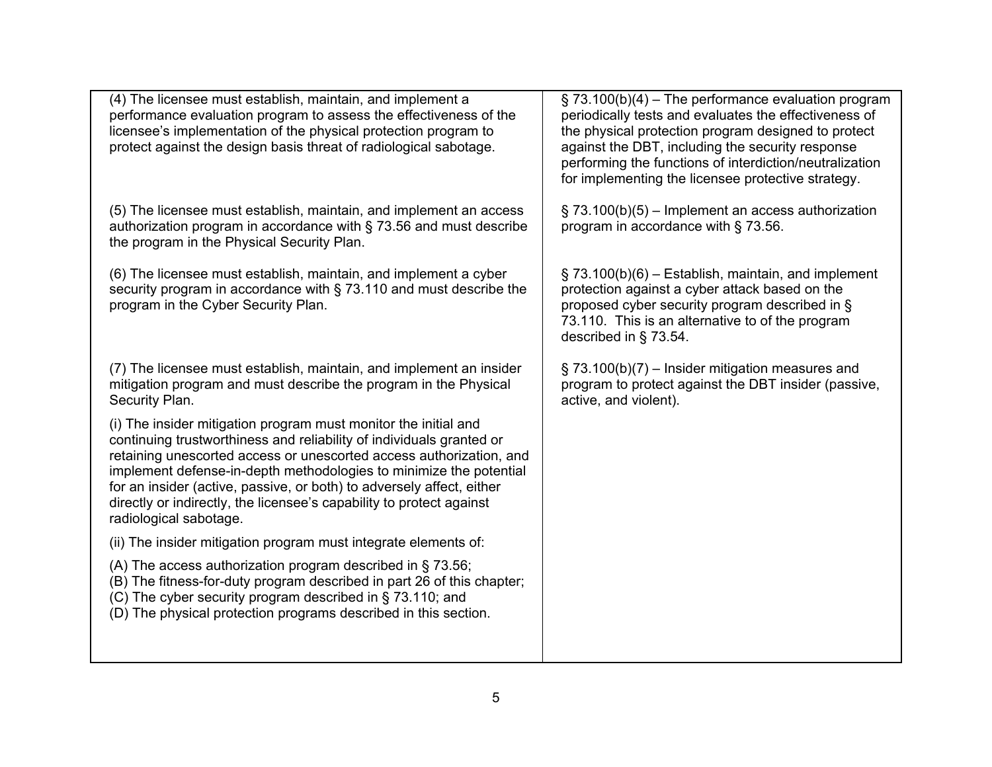| (4) The licensee must establish, maintain, and implement a<br>performance evaluation program to assess the effectiveness of the<br>licensee's implementation of the physical protection program to<br>protect against the design basis threat of radiological sabotage.                                                                                                                                                                                         | $\S$ 73.100(b)(4) – The performance evaluation program<br>periodically tests and evaluates the effectiveness of<br>the physical protection program designed to protect<br>against the DBT, including the security response<br>performing the functions of interdiction/neutralization<br>for implementing the licensee protective strategy. |
|-----------------------------------------------------------------------------------------------------------------------------------------------------------------------------------------------------------------------------------------------------------------------------------------------------------------------------------------------------------------------------------------------------------------------------------------------------------------|---------------------------------------------------------------------------------------------------------------------------------------------------------------------------------------------------------------------------------------------------------------------------------------------------------------------------------------------|
| (5) The licensee must establish, maintain, and implement an access<br>authorization program in accordance with § 73.56 and must describe<br>the program in the Physical Security Plan.                                                                                                                                                                                                                                                                          | $\S$ 73.100(b)(5) – Implement an access authorization<br>program in accordance with § 73.56.                                                                                                                                                                                                                                                |
| (6) The licensee must establish, maintain, and implement a cyber<br>security program in accordance with § 73.110 and must describe the<br>program in the Cyber Security Plan.                                                                                                                                                                                                                                                                                   | $\S$ 73.100(b)(6) – Establish, maintain, and implement<br>protection against a cyber attack based on the<br>proposed cyber security program described in §<br>73.110. This is an alternative to of the program<br>described in § 73.54.                                                                                                     |
| (7) The licensee must establish, maintain, and implement an insider<br>mitigation program and must describe the program in the Physical<br>Security Plan.                                                                                                                                                                                                                                                                                                       | $\S$ 73.100(b)(7) – Insider mitigation measures and<br>program to protect against the DBT insider (passive,<br>active, and violent).                                                                                                                                                                                                        |
| (i) The insider mitigation program must monitor the initial and<br>continuing trustworthiness and reliability of individuals granted or<br>retaining unescorted access or unescorted access authorization, and<br>implement defense-in-depth methodologies to minimize the potential<br>for an insider (active, passive, or both) to adversely affect, either<br>directly or indirectly, the licensee's capability to protect against<br>radiological sabotage. |                                                                                                                                                                                                                                                                                                                                             |
| (ii) The insider mitigation program must integrate elements of:                                                                                                                                                                                                                                                                                                                                                                                                 |                                                                                                                                                                                                                                                                                                                                             |
| (A) The access authorization program described in $\S$ 73.56;<br>(B) The fitness-for-duty program described in part 26 of this chapter;<br>(C) The cyber security program described in § 73.110; and<br>(D) The physical protection programs described in this section.                                                                                                                                                                                         |                                                                                                                                                                                                                                                                                                                                             |
|                                                                                                                                                                                                                                                                                                                                                                                                                                                                 |                                                                                                                                                                                                                                                                                                                                             |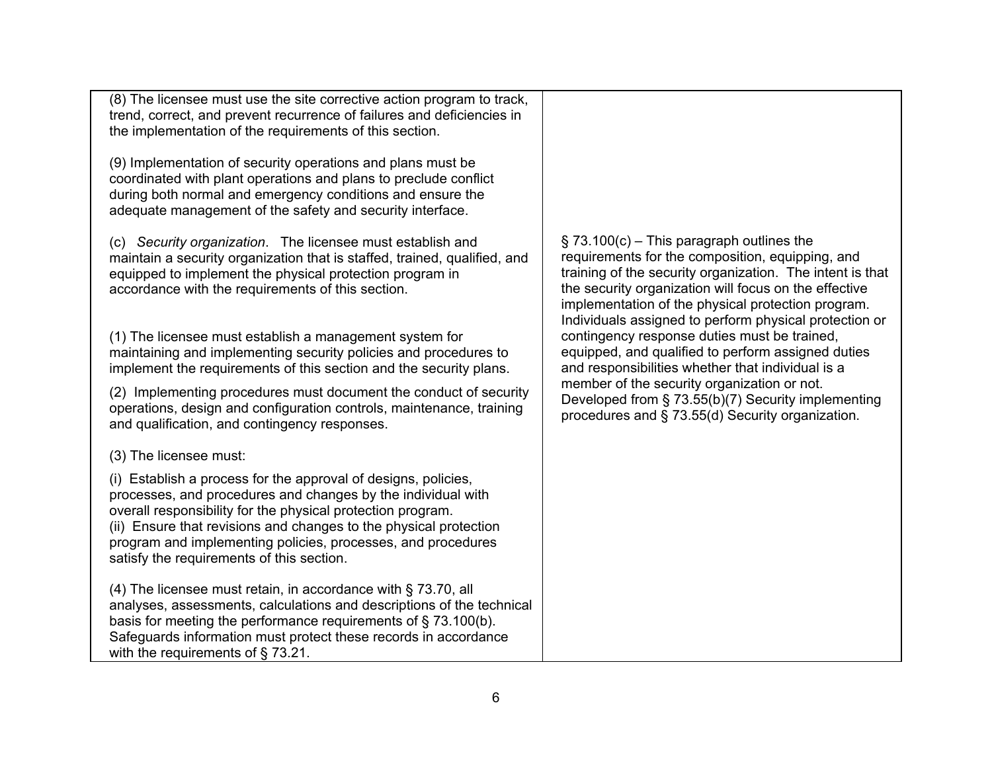| (8) The licensee must use the site corrective action program to track,<br>trend, correct, and prevent recurrence of failures and deficiencies in<br>the implementation of the requirements of this section.                                                                                                                                                                     |                                                                                                                                                                                                                                                                                                                                                                                                                                                                                                                                                                                                                                                            |
|---------------------------------------------------------------------------------------------------------------------------------------------------------------------------------------------------------------------------------------------------------------------------------------------------------------------------------------------------------------------------------|------------------------------------------------------------------------------------------------------------------------------------------------------------------------------------------------------------------------------------------------------------------------------------------------------------------------------------------------------------------------------------------------------------------------------------------------------------------------------------------------------------------------------------------------------------------------------------------------------------------------------------------------------------|
| (9) Implementation of security operations and plans must be<br>coordinated with plant operations and plans to preclude conflict<br>during both normal and emergency conditions and ensure the<br>adequate management of the safety and security interface.                                                                                                                      |                                                                                                                                                                                                                                                                                                                                                                                                                                                                                                                                                                                                                                                            |
| (c) Security organization. The licensee must establish and<br>maintain a security organization that is staffed, trained, qualified, and<br>equipped to implement the physical protection program in<br>accordance with the requirements of this section.                                                                                                                        | $\S$ 73.100(c) – This paragraph outlines the<br>requirements for the composition, equipping, and<br>training of the security organization. The intent is that<br>the security organization will focus on the effective<br>implementation of the physical protection program.<br>Individuals assigned to perform physical protection or<br>contingency response duties must be trained,<br>equipped, and qualified to perform assigned duties<br>and responsibilities whether that individual is a<br>member of the security organization or not.<br>Developed from § 73.55(b)(7) Security implementing<br>procedures and § 73.55(d) Security organization. |
| (1) The licensee must establish a management system for<br>maintaining and implementing security policies and procedures to<br>implement the requirements of this section and the security plans.                                                                                                                                                                               |                                                                                                                                                                                                                                                                                                                                                                                                                                                                                                                                                                                                                                                            |
| (2) Implementing procedures must document the conduct of security<br>operations, design and configuration controls, maintenance, training<br>and qualification, and contingency responses.                                                                                                                                                                                      |                                                                                                                                                                                                                                                                                                                                                                                                                                                                                                                                                                                                                                                            |
| (3) The licensee must:                                                                                                                                                                                                                                                                                                                                                          |                                                                                                                                                                                                                                                                                                                                                                                                                                                                                                                                                                                                                                                            |
| (i) Establish a process for the approval of designs, policies,<br>processes, and procedures and changes by the individual with<br>overall responsibility for the physical protection program.<br>(ii) Ensure that revisions and changes to the physical protection<br>program and implementing policies, processes, and procedures<br>satisfy the requirements of this section. |                                                                                                                                                                                                                                                                                                                                                                                                                                                                                                                                                                                                                                                            |
| (4) The licensee must retain, in accordance with § 73.70, all<br>analyses, assessments, calculations and descriptions of the technical<br>basis for meeting the performance requirements of $\S$ 73.100(b).<br>Safeguards information must protect these records in accordance<br>with the requirements of $\S$ 73.21.                                                          |                                                                                                                                                                                                                                                                                                                                                                                                                                                                                                                                                                                                                                                            |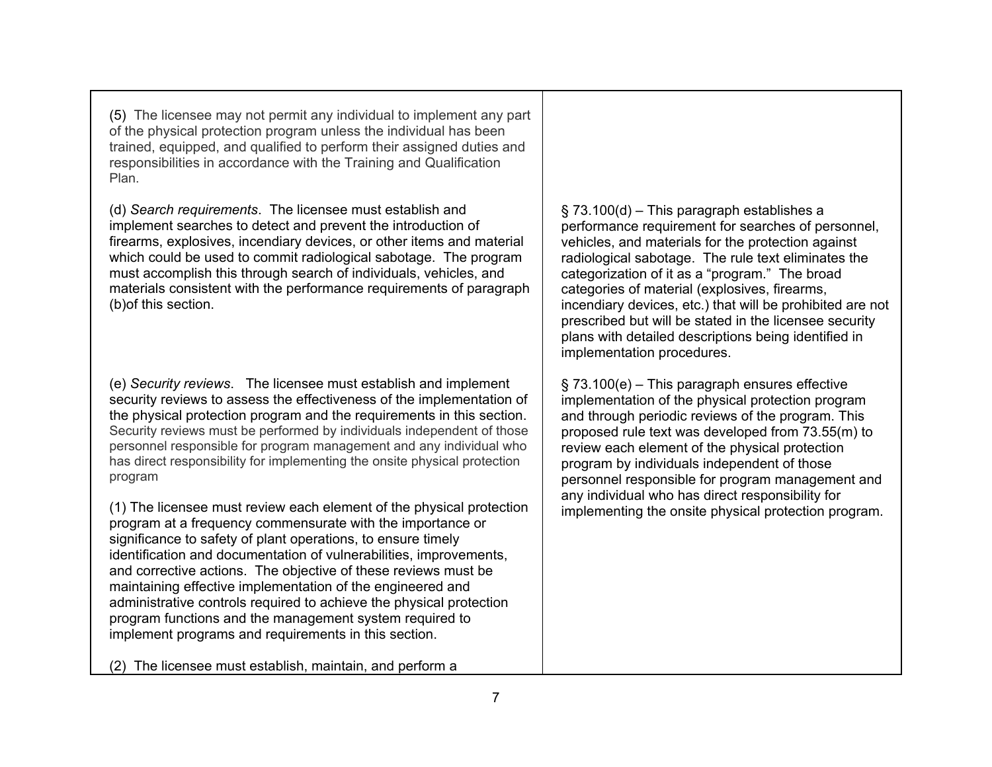(5) The licensee may not permit any individual to implement any part of the physical protection program unless the individual has been trained, equipped, and qualified to perform their assigned duties and responsibilities in accordance with the Training and Qualification Plan.

(d) *Search requirements*. The licensee must establish and implement searches to detect and prevent the introduction of firearms, explosives, incendiary devices, or other items and material which could be used to commit radiological sabotage. The program must accomplish this through search of individuals, vehicles, and materials consistent with the performance requirements of paragraph (b)of this section.

(e) *Security reviews*. The licensee must establish and implement security reviews to assess the effectiveness of the implementation of the physical protection program and the requirements in this section. Security reviews must be performed by individuals independent of those personnel responsible for program management and any individual who has direct responsibility for implementing the onsite physical protection program

(1) The licensee must review each element of the physical protection program at a frequency commensurate with the importance or significance to safety of plant operations, to ensure timely identification and documentation of vulnerabilities, improvements, and corrective actions. The objective of these reviews must be maintaining effective implementation of the engineered and administrative controls required to achieve the physical protection program functions and the management system required to implement programs and requirements in this section.

(2) The licensee must establish, maintain, and perform a

§ 73.100(d) – This paragraph establishes a performance requirement for searches of personnel, vehicles, and materials for the protection against radiological sabotage. The rule text eliminates the categorization of it as a "program." The broad categories of material (explosives, firearms, incendiary devices, etc.) that will be prohibited are not prescribed but will be stated in the licensee security plans with detailed descriptions being identified in implementation procedures.

§ 73.100(e) – This paragraph ensures effective implementation of the physical protection program and through periodic reviews of the program. This proposed rule text was developed from 73.55(m) to review each element of the physical protection program by individuals independent of those personnel responsible for program management and any individual who has direct responsibility for implementing the onsite physical protection program.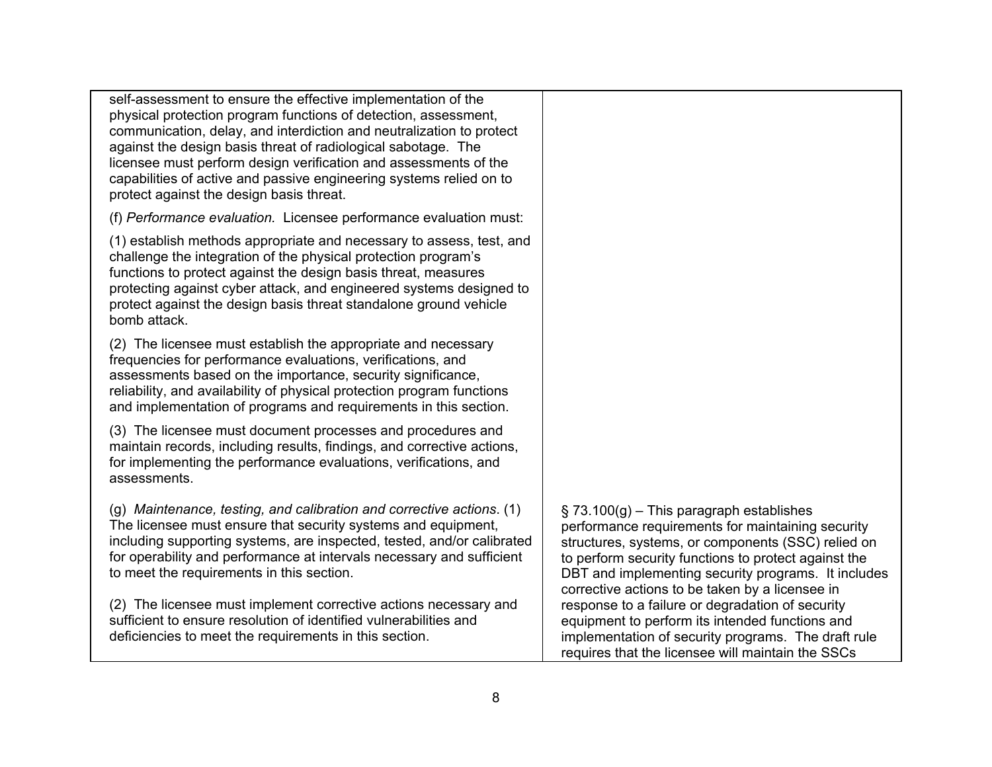self-assessment to ensure the effective implementation of the physical protection program functions of detection, assessment, communication, delay, and interdiction and neutralization to protect against the design basis threat of radiological sabotage. The licensee must perform design verification and assessments of the capabilities of active and passive engineering systems relied on to protect against the design basis threat.

(f) *Performance evaluation.* Licensee performance evaluation must:

(1) establish methods appropriate and necessary to assess, test, and challenge the integration of the physical protection program's functions to protect against the design basis threat, measures protecting against cyber attack, and engineered systems designed to protect against the design basis threat standalone ground vehicle bomb attack.

(2) The licensee must establish the appropriate and necessary frequencies for performance evaluations, verifications, and assessments based on the importance, security significance, reliability, and availability of physical protection program functions and implementation of programs and requirements in this section.

(3) The licensee must document processes and procedures and maintain records, including results, findings, and corrective actions, for implementing the performance evaluations, verifications, and assessments.

(g) *Maintenance, testing, and calibration and corrective actions*. (1) The licensee must ensure that security systems and equipment, including supporting systems, are inspected, tested, and/or calibrated for operability and performance at intervals necessary and sufficient to meet the requirements in this section.

(2) The licensee must implement corrective actions necessary and sufficient to ensure resolution of identified vulnerabilities and deficiencies to meet the requirements in this section.

 $\S$  73.100(g) – This paragraph establishes performance requirements for maintaining security structures, systems, or components (SSC) relied on to perform security functions to protect against the DBT and implementing security programs. It includes corrective actions to be taken by a licensee in response to a failure or degradation of security equipment to perform its intended functions and implementation of security programs. The draft rule requires that the licensee will maintain the SSCs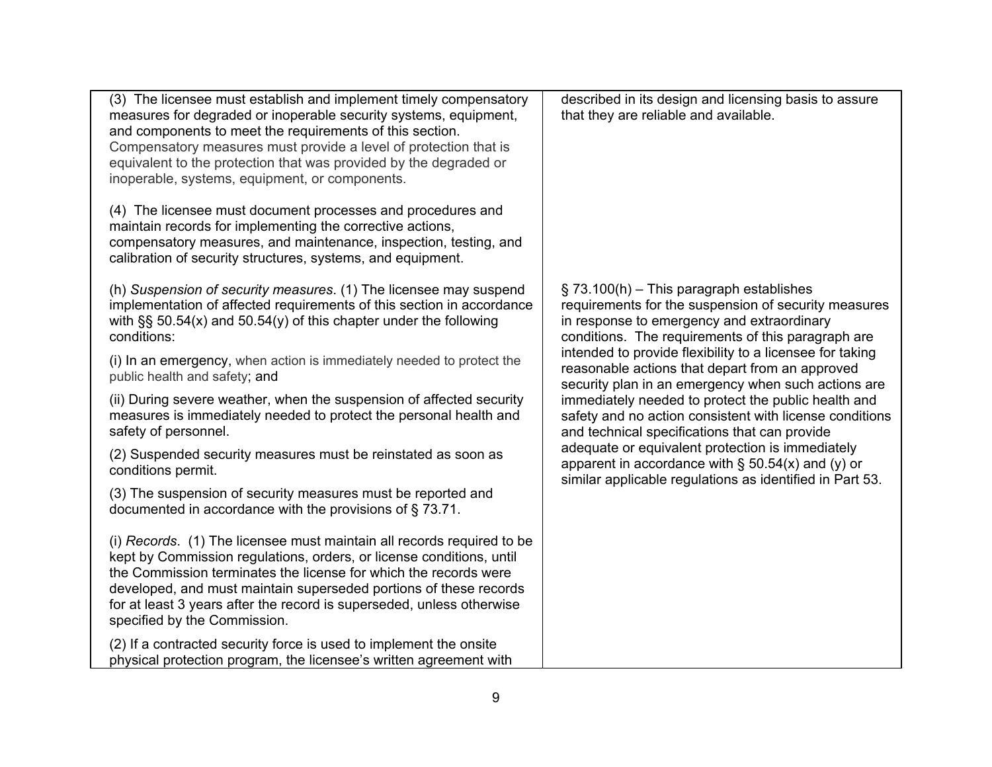| (3) The licensee must establish and implement timely compensatory<br>measures for degraded or inoperable security systems, equipment,<br>and components to meet the requirements of this section.<br>Compensatory measures must provide a level of protection that is<br>equivalent to the protection that was provided by the degraded or<br>inoperable, systems, equipment, or components.<br>(4) The licensee must document processes and procedures and | described in its design and licensing basis to assure<br>that they are reliable and available.                                                                                                                                                                                                                                                                                                                                                                                                                                                                                                                                                                                                                           |
|-------------------------------------------------------------------------------------------------------------------------------------------------------------------------------------------------------------------------------------------------------------------------------------------------------------------------------------------------------------------------------------------------------------------------------------------------------------|--------------------------------------------------------------------------------------------------------------------------------------------------------------------------------------------------------------------------------------------------------------------------------------------------------------------------------------------------------------------------------------------------------------------------------------------------------------------------------------------------------------------------------------------------------------------------------------------------------------------------------------------------------------------------------------------------------------------------|
| maintain records for implementing the corrective actions,<br>compensatory measures, and maintenance, inspection, testing, and<br>calibration of security structures, systems, and equipment.                                                                                                                                                                                                                                                                |                                                                                                                                                                                                                                                                                                                                                                                                                                                                                                                                                                                                                                                                                                                          |
| (h) Suspension of security measures. (1) The licensee may suspend<br>implementation of affected requirements of this section in accordance<br>with $\S$ § 50.54(x) and 50.54(y) of this chapter under the following<br>conditions:                                                                                                                                                                                                                          | $\S$ 73.100(h) – This paragraph establishes<br>requirements for the suspension of security measures<br>in response to emergency and extraordinary<br>conditions. The requirements of this paragraph are<br>intended to provide flexibility to a licensee for taking<br>reasonable actions that depart from an approved<br>security plan in an emergency when such actions are<br>immediately needed to protect the public health and<br>safety and no action consistent with license conditions<br>and technical specifications that can provide<br>adequate or equivalent protection is immediately<br>apparent in accordance with $\S$ 50.54(x) and (y) or<br>similar applicable regulations as identified in Part 53. |
| (i) In an emergency, when action is immediately needed to protect the<br>public health and safety; and                                                                                                                                                                                                                                                                                                                                                      |                                                                                                                                                                                                                                                                                                                                                                                                                                                                                                                                                                                                                                                                                                                          |
| (ii) During severe weather, when the suspension of affected security<br>measures is immediately needed to protect the personal health and<br>safety of personnel.                                                                                                                                                                                                                                                                                           |                                                                                                                                                                                                                                                                                                                                                                                                                                                                                                                                                                                                                                                                                                                          |
| (2) Suspended security measures must be reinstated as soon as<br>conditions permit.                                                                                                                                                                                                                                                                                                                                                                         |                                                                                                                                                                                                                                                                                                                                                                                                                                                                                                                                                                                                                                                                                                                          |
| (3) The suspension of security measures must be reported and<br>documented in accordance with the provisions of $\S$ 73.71.                                                                                                                                                                                                                                                                                                                                 |                                                                                                                                                                                                                                                                                                                                                                                                                                                                                                                                                                                                                                                                                                                          |
| (i) Records. (1) The licensee must maintain all records required to be<br>kept by Commission regulations, orders, or license conditions, until<br>the Commission terminates the license for which the records were<br>developed, and must maintain superseded portions of these records<br>for at least 3 years after the record is superseded, unless otherwise<br>specified by the Commission.                                                            |                                                                                                                                                                                                                                                                                                                                                                                                                                                                                                                                                                                                                                                                                                                          |
| (2) If a contracted security force is used to implement the onsite<br>physical protection program, the licensee's written agreement with                                                                                                                                                                                                                                                                                                                    |                                                                                                                                                                                                                                                                                                                                                                                                                                                                                                                                                                                                                                                                                                                          |